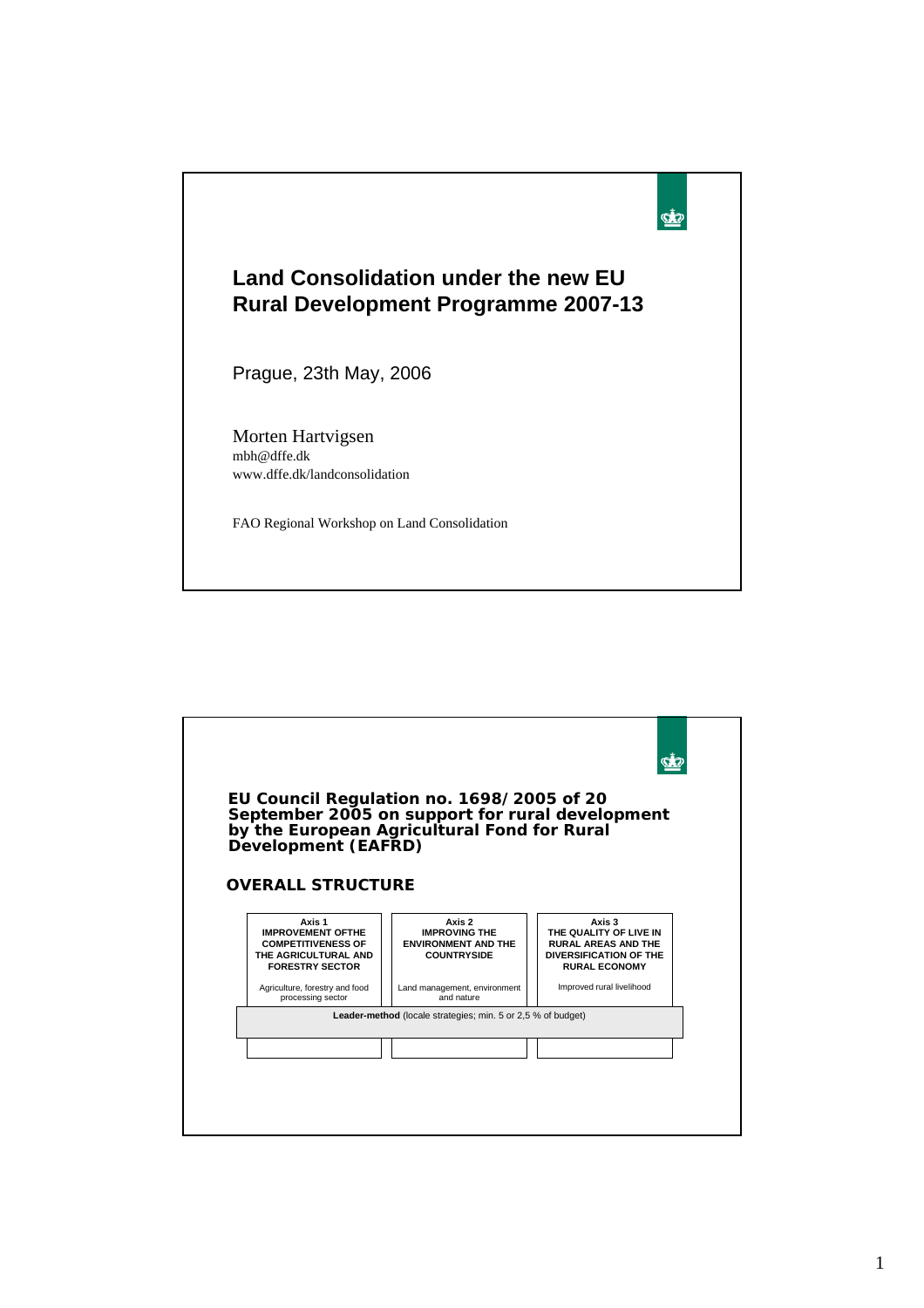

| EU Council Regulation no. 1698/2005 of 20<br>September 2005 on support for rural development<br>by the European Agricultural Fond for Rural<br>Development (EAFRD)<br><b>OVERALL STRUCTURE</b> |                                                                                    |                                                                                                                         |
|------------------------------------------------------------------------------------------------------------------------------------------------------------------------------------------------|------------------------------------------------------------------------------------|-------------------------------------------------------------------------------------------------------------------------|
| Axis 1<br><b>IMPROVEMENT OFTHE</b><br><b>COMPETITIVENESS OF</b><br>THE AGRICULTURAL AND<br><b>FORESTRY SECTOR</b>                                                                              | Axis 2<br><b>IMPROVING THE</b><br><b>ENVIRONMENT AND THE</b><br><b>COUNTRYSIDE</b> | Axis 3<br>THE QUALITY OF LIVE IN<br><b>RURAL AREAS AND THE</b><br><b>DIVERSIFICATION OF THE</b><br><b>RURAL ECONOMY</b> |
| Agriculture, forestry and food<br>processing sector                                                                                                                                            | Land management, environment<br>and nature                                         | Improved rural livelihood                                                                                               |
|                                                                                                                                                                                                | Leader-method (locale strategies; min. 5 or 2,5 % of budget)                       |                                                                                                                         |
|                                                                                                                                                                                                |                                                                                    |                                                                                                                         |
|                                                                                                                                                                                                |                                                                                    |                                                                                                                         |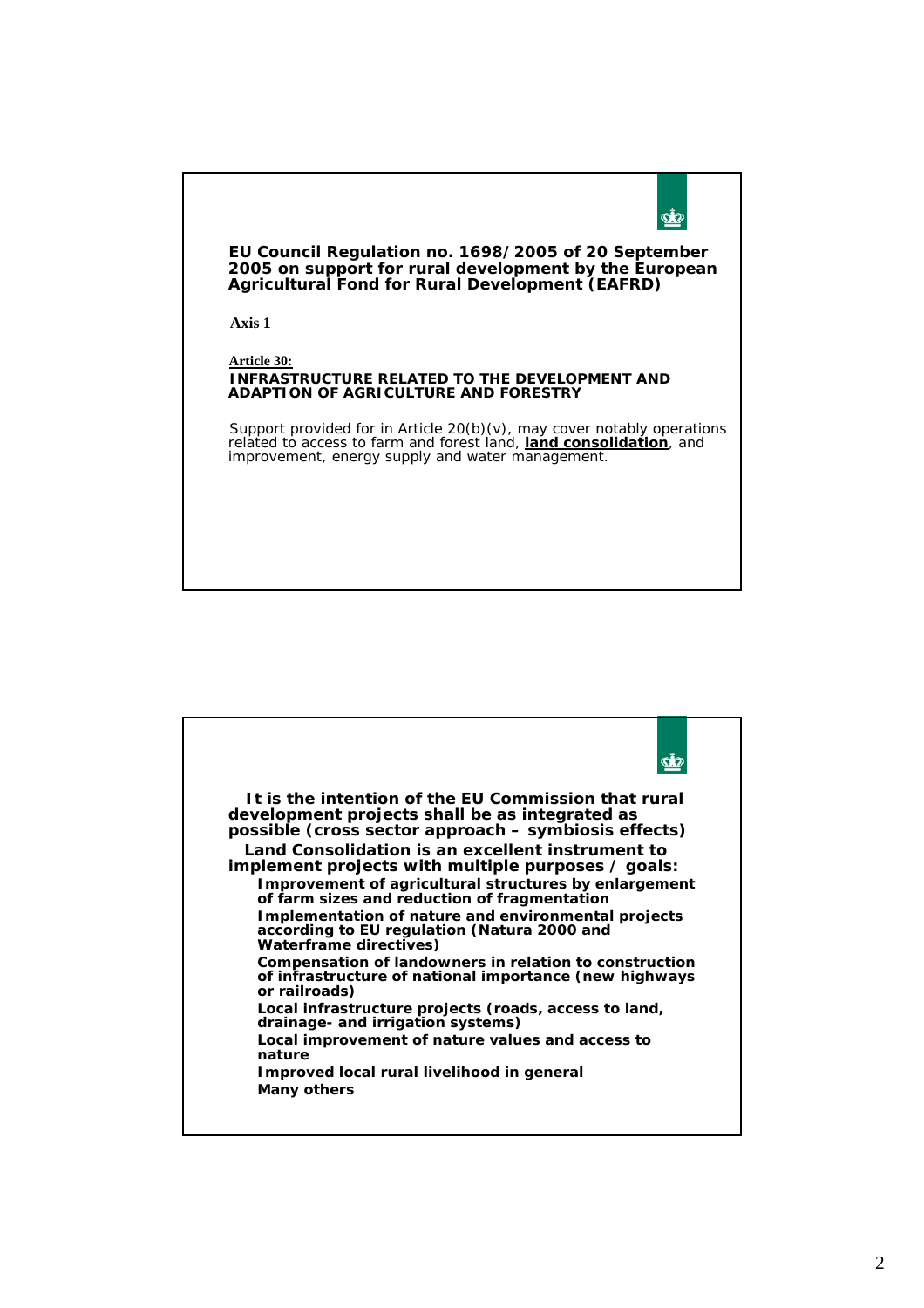

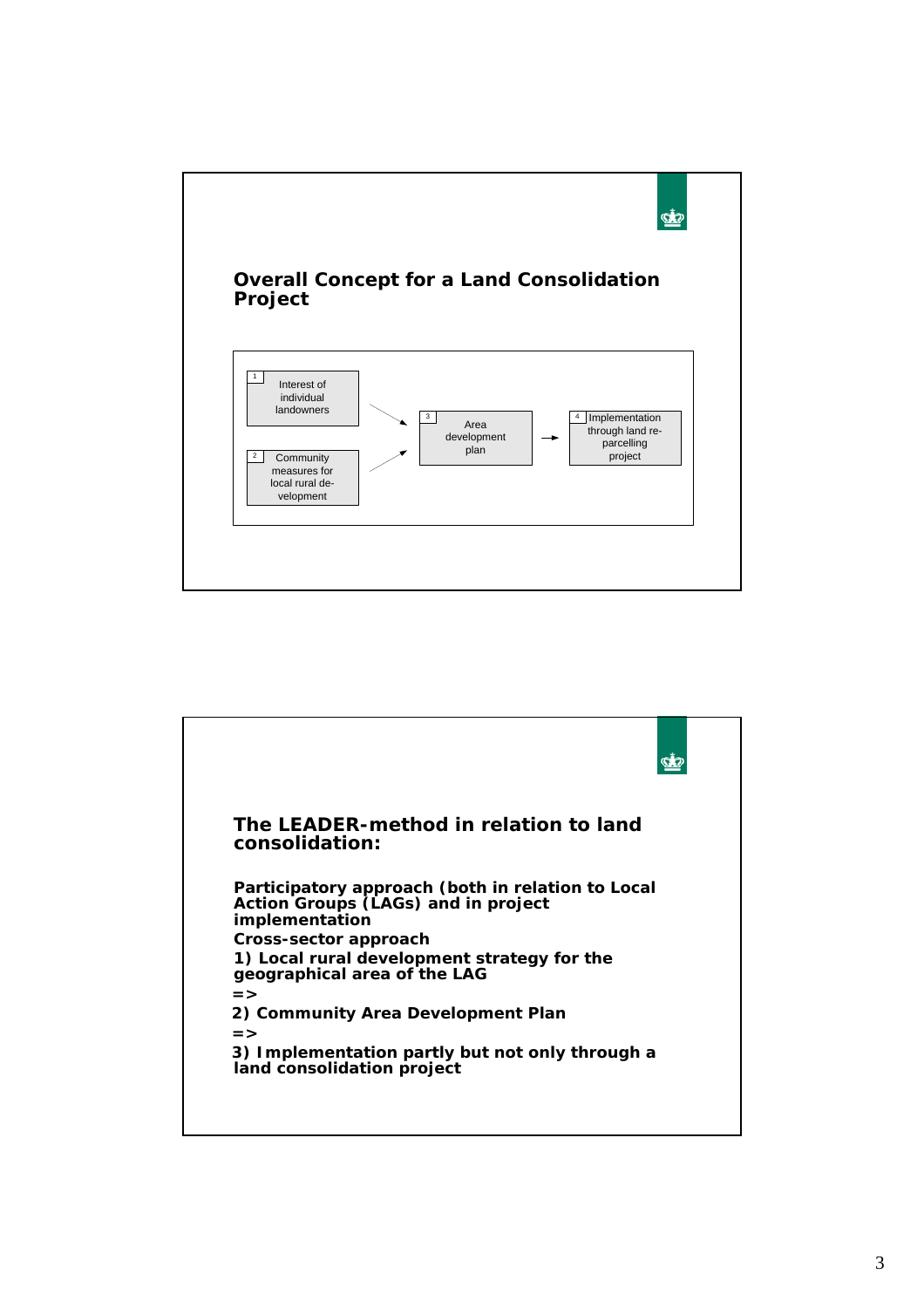